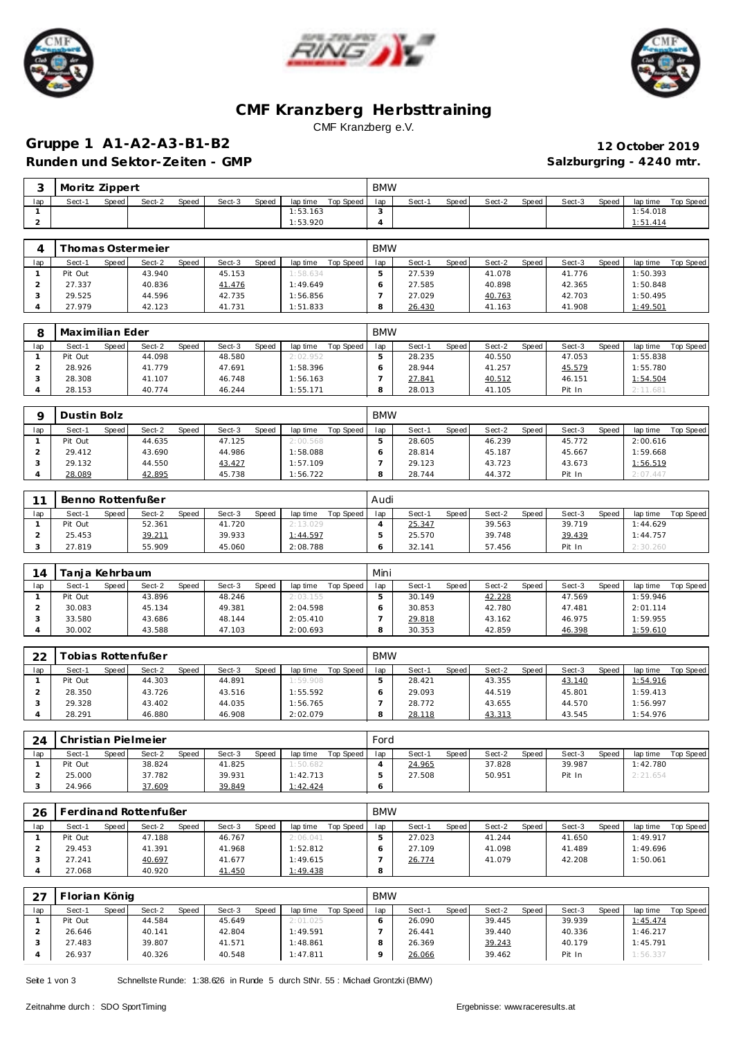





### **CMF Kranzberg Herbsttraining** CMF Kranzberg e.V.

### **Gruppe 1 A1-A2-A3-B1-B2 12 October 2019** Runden und Sektor-Zeiten - GMP **and Sektor-Zeiten - GMP Salzburgring - 4240 mtr.**

|     | Moritz Zippert |              |        |       |        |       |          |           | <b>BMW</b> |        |       |        |       |        |       |          |           |
|-----|----------------|--------------|--------|-------|--------|-------|----------|-----------|------------|--------|-------|--------|-------|--------|-------|----------|-----------|
| lap | Sect-1         | <b>Speed</b> | Sect-2 | Speed | Sect-3 | Speed | lap time | Top Speed | lap        | Sect-1 | Speed | Sect-2 | Speed | Sect-3 | Speed | lap time | Top Speed |
|     |                |              |        |       |        |       | 1:53.163 |           |            |        |       |        |       |        |       | 1:54.018 |           |
|     |                |              |        |       |        |       | 1:53.920 |           |            |        |       |        |       |        |       | 1:51.414 |           |

|     |         |       | homas Ostermeier |       |        |       |          |           | <b>BMW</b> |        |         |        |       |        |       |          |                  |
|-----|---------|-------|------------------|-------|--------|-------|----------|-----------|------------|--------|---------|--------|-------|--------|-------|----------|------------------|
| lap | Sect-1  | Speed | Sect-2           | Speed | Sect-3 | Speed | lap time | Top Speed | lap        | Sect-1 | Speed i | Sect-2 | Speed | Sect-3 | Speed | lap time | <b>Top Speed</b> |
|     | Pit Out |       | 43.940           |       | 45.153 |       | 1:58.634 |           |            | 27.539 |         | 41.078 |       | 41.776 |       | 1:50.393 |                  |
|     | 27.337  |       | 40.836           |       | 41.476 |       | 1:49.649 |           |            | 27.585 |         | 40.898 |       | 42.365 |       | 1:50.848 |                  |
|     | 29.525  |       | 44.596           |       | 42.735 |       | 1:56.856 |           |            | 27.029 |         | 40.763 |       | 42.703 |       | 1:50.495 |                  |
|     | 27.979  |       | 42.123           |       | 41.731 |       | 1:51.833 |           |            | 26.430 |         | 41.163 |       | 41.908 |       | 1:49.501 |                  |

|     | Maximilian Eder |       |        |       |        |       |          |           | <b>BMW</b> |        |       |        |         |        |       |          |           |
|-----|-----------------|-------|--------|-------|--------|-------|----------|-----------|------------|--------|-------|--------|---------|--------|-------|----------|-----------|
| lap | Sect-1          | Speed | Sect-2 | Speed | Sect-3 | Speed | lap time | Top Speed | lap        | Sect-1 | Speed | Sect-2 | Speed I | Sect-3 | Speed | lap time | Top Speed |
|     | Pit Out         |       | 44.098 |       | 48.580 |       | 2:02.952 |           |            | 28.235 |       | 40.550 |         | 47.053 |       | 1:55.838 |           |
|     | 28.926          |       | 41.779 |       | 47.691 |       | 1:58.396 |           |            | 28.944 |       | 41.257 |         | 45.579 |       | 1:55.780 |           |
|     | 28.308          |       | 41.107 |       | 46.748 |       | 1:56.163 |           |            | 27.841 |       | 40.512 |         | 46.151 |       | 1:54.504 |           |
|     | 28.153          |       | 40.774 |       | 46.244 |       | 1:55.171 |           |            | 28.013 |       | 41.105 |         | Pit In |       | 2:11.681 |           |

|     | Dustin Bolz |       |        |              |        |       |          |           | <b>BMW</b> |        |       |        |       |        |       |          |           |
|-----|-------------|-------|--------|--------------|--------|-------|----------|-----------|------------|--------|-------|--------|-------|--------|-------|----------|-----------|
| lap | Sect-1      | Speed | Sect-2 | <b>Speed</b> | Sect-3 | Speed | lap time | Top Speed | lap        | Sect-  | Speed | Sect-2 | Speed | Sect-3 | Speed | lap time | Top Speed |
|     | Pit Out     |       | 44.635 |              | 47.125 |       | 2:00.568 |           |            | 28.605 |       | 46.239 |       | 45.772 |       | 2:00.616 |           |
|     | 29.412      |       | 43.690 |              | 44.986 |       | 1:58.088 |           |            | 28.814 |       | 45.187 |       | 45.667 |       | : 59.668 |           |
|     | 29.132      |       | 44.550 |              | 43.427 |       | 1:57.109 |           |            | 29.123 |       | 43.723 |       | 43.673 |       | : 56.519 |           |
|     | 28.089      |       | 42.895 |              | 45.738 |       | 1:56.722 |           |            | 28.744 |       | 44.372 |       | Pit In |       | 2:07.447 |           |

| $\sim$ | Benno Rottenfußer |              |        |       |        |       |          |           | Audi |        |       |        |       |        |       |          |           |
|--------|-------------------|--------------|--------|-------|--------|-------|----------|-----------|------|--------|-------|--------|-------|--------|-------|----------|-----------|
| lap    | Sect-1            | <b>Speed</b> | Sect-2 | Speed | Sect-3 | Speed | lap time | Top Speed | lap  | Sect-1 | Speed | Sect-2 | Speed | Sect-3 | Speed | lap time | Top Speed |
|        | Pit Out           |              | 52.361 |       | 41.720 |       | 2:13.029 |           |      | 25.347 |       | 39.563 |       | 39.719 |       | 1:44.629 |           |
|        | 25.453            |              | 39.211 |       | 39.933 |       | 1:44.597 |           |      | 25.570 |       | 39.748 |       | 39.439 |       | 1:44.757 |           |
|        | 27.819            |              | 55.909 |       | 45.060 |       | 2:08.788 |           |      | 32.141 |       | 57.456 |       | Pit In |       | 2:30.260 |           |

| 14  | Fania Kehrbaum. |       |        |              |        |       |          |           | Mini |        |       |        |       |        |              |          |           |
|-----|-----------------|-------|--------|--------------|--------|-------|----------|-----------|------|--------|-------|--------|-------|--------|--------------|----------|-----------|
| lap | Sect-1          | Speed | Sect-2 | <b>Speed</b> | Sect-3 | Speed | lap time | Top Speed | lap  | Sect-1 | Speed | Sect-2 | Speed | Sect-3 | <b>Speed</b> | lap time | Top Speed |
|     | Pit Out         |       | 43.896 |              | 48.246 |       | 2:03.155 |           |      | 30.149 |       | 42.228 |       | 47.569 |              | 1:59.946 |           |
|     | 30.083          |       | 45.134 |              | 49.381 |       | 2:04.598 |           |      | 30.853 |       | 42.780 |       | 47.481 |              | 2:01.114 |           |
|     | 33.580          |       | 43.686 |              | 48.144 |       | 2:05.410 |           |      | 29.818 |       | 43.162 |       | 46.975 |              | 1:59.955 |           |
|     | 30.002          |       | 43.588 |              | 47.103 |       | 2:00.693 |           |      | 30.353 |       | 42.859 |       | 46.398 |              | 1:59.610 |           |

| 22  |         |       | Tobias Rottenfußer |       |        |       |          |           | <b>BMW</b> |        |       |        |       |        |              |          |           |
|-----|---------|-------|--------------------|-------|--------|-------|----------|-----------|------------|--------|-------|--------|-------|--------|--------------|----------|-----------|
| lap | Sect-1  | Speed | Sect-2             | Speed | Sect-3 | Speed | lap time | Top Speed | lap        | Sect-1 | Speed | Sect-2 | Speed | Sect-3 | <b>Speed</b> | lap time | Top Speed |
|     | Pit Out |       | 44.303             |       | 44.891 |       | 1:59.908 |           |            | 28.421 |       | 43.355 |       | 43.140 |              | 1:54.916 |           |
|     | 28.350  |       | 43.726             |       | 43.516 |       | 1:55.592 |           |            | 29.093 |       | 44.519 |       | 45.801 |              | 1:59.413 |           |
|     | 29.328  |       | 43.402             |       | 44.035 |       | 1:56.765 |           |            | 28.772 |       | 43.655 |       | 44.570 |              | 1:56.997 |           |
|     | 28.291  |       | 46.880             |       | 46.908 |       | 2:02.079 |           |            | 28.118 |       | 43.313 |       | 43.545 |              | 1:54.976 |           |

| 24  |         |       | Christian Pielmeier |       |        |       |          |           | Ford |        |       |        |        |        |              |          |           |
|-----|---------|-------|---------------------|-------|--------|-------|----------|-----------|------|--------|-------|--------|--------|--------|--------------|----------|-----------|
| lap | Sect-1  | Speed | Sect-2              | Speed | Sect-3 | Speed | lap time | Top Speed | lap  | Sect-1 | Speed | Sect-2 | Speed, | Sect-3 | <b>Speed</b> | lap time | Top Speed |
|     | Pit Out |       | 38.824              |       | 41.825 |       | 1:50.682 |           |      | 24.965 |       | 37.828 |        | 39.987 |              | 1:42.780 |           |
|     | 25.000  |       | 37.782              |       | 39.931 |       | 1:42.713 |           |      | 27.508 |       | 50.951 |        | Pit In |              | 2:21.654 |           |
|     | 24.966  |       | 37.609              |       | 39.849 |       | 1:42.424 |           |      |        |       |        |        |        |              |          |           |

| 26  |         |       | erdinand Rottenfußer |       |        |       |          |           | <b>BMW</b> |        |       |        |       |        |              |          |           |
|-----|---------|-------|----------------------|-------|--------|-------|----------|-----------|------------|--------|-------|--------|-------|--------|--------------|----------|-----------|
| lap | Sect-1  | Speed | Sect-2               | Speed | Sect-3 | Speed | lap time | Top Speed | lap        | Sect-1 | Speed | Sect-2 | Speed | Sect-3 | <b>Speed</b> | lap time | Top Speed |
|     | Pit Out |       | 47.188               |       | 46.767 |       | 2:06.041 |           |            | 27.023 |       | 41.244 |       | 41.650 |              | 1:49.917 |           |
|     | 29.453  |       | 41.391               |       | 41.968 |       | 1:52.812 |           |            | 27.109 |       | 41.098 |       | 41.489 |              | 1:49.696 |           |
|     | 27.241  |       | 40.697               |       | 41.677 |       | 1:49.615 |           |            | 26.774 |       | 41.079 |       | 42.208 |              | 1:50.061 |           |
|     | 27.068  |       | 40.920               |       | 41.450 |       | 1:49.438 |           | 8          |        |       |        |       |        |              |          |           |

| 27  | Florian König |       |        |       |        |              |          |           | <b>BMW</b> |        |         |        |       |        |       |          |           |
|-----|---------------|-------|--------|-------|--------|--------------|----------|-----------|------------|--------|---------|--------|-------|--------|-------|----------|-----------|
| lap | Sect-1        | Speed | Sect-2 | Speed | Sect-3 | <b>Speed</b> | lap time | Top Speed | lap        | Sect-1 | Speed I | Sect-2 | Speed | Sect-3 | Speed | lap time | Top Speed |
|     | Pit Out       |       | 44.584 |       | 45.649 |              | 2:01.025 |           | 6          | 26.090 |         | 39.445 |       | 39.939 |       | 1:45.474 |           |
|     | 26.646        |       | 40.141 |       | 42.804 |              | 1:49.591 |           |            | 26.441 |         | 39.440 |       | 40.336 |       | 1:46.217 |           |
|     | 27.483        |       | 39.807 |       | 41.571 |              | 1:48.861 |           |            | 26.369 |         | 39.243 |       | 40.179 |       | 1:45.791 |           |
|     | 26.937        |       | 40.326 |       | 40.548 |              | 1:47.811 |           |            | 26.066 |         | 39.462 |       | Pit In |       | 1:56.337 |           |

Seite 1 von 3 Schnellste Runde: 1:38.626 in Runde 5 durch StNr. 55 : Michael Grontzki (BMW)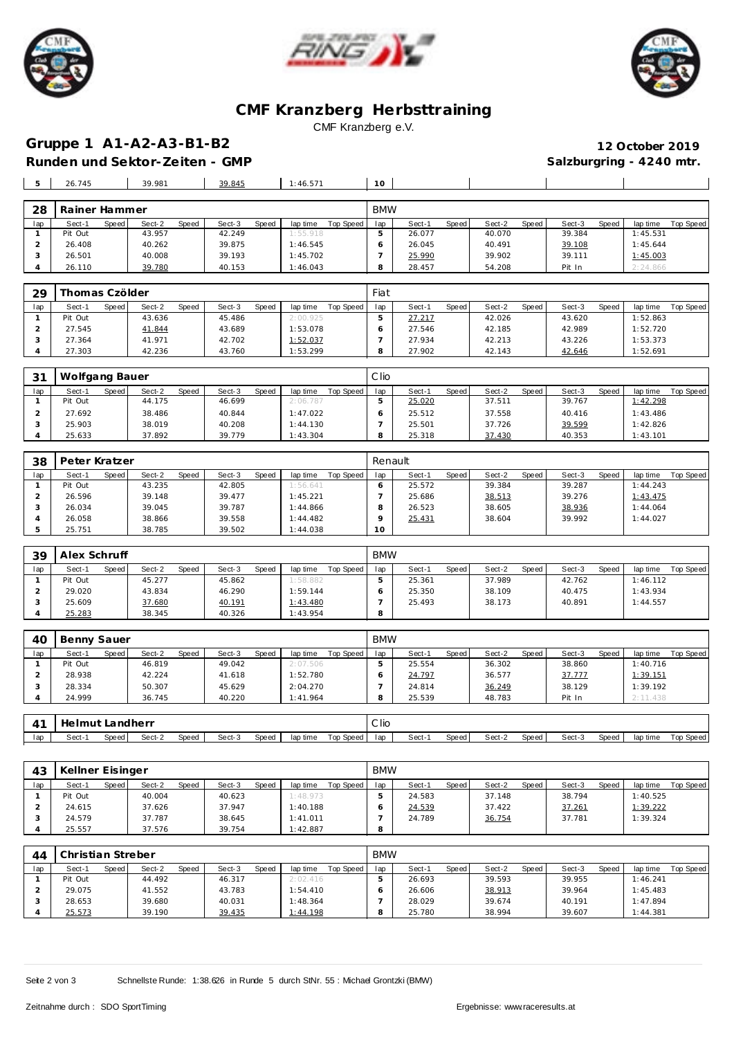





#### **CMF Kranzberg Herbsttraining** CMF Kranzberg e.V.

# **Gruppe 1 A1-A2-A3-B1-B2 12 October 2019**

Runden und Sektor-Zeiten - GMP **Salzburgring - 4240 mtr.** Salzburgring - 4240 mtr.

**28.457 54.208 Pit In** 2:24.866

| 5   | 26.745        |       | 39.981 |       | 39.845 |       | 1:46.571 |           | 10         |        |       |        |       |        |       |          |           |
|-----|---------------|-------|--------|-------|--------|-------|----------|-----------|------------|--------|-------|--------|-------|--------|-------|----------|-----------|
|     |               |       |        |       |        |       |          |           |            |        |       |        |       |        |       |          |           |
| 28  | Rainer Hammer |       |        |       |        |       |          |           | <b>BMW</b> |        |       |        |       |        |       |          |           |
| lap | Sect-1        | Speed | Sect-2 | Speed | Sect-3 | Speed | lap time | Top Speed | lap        | Sect-1 | Speed | Sect-2 | Speed | Sect-3 | Speed | lap time | Top Speed |
|     | Pit Out       |       | 43.957 |       | 42.249 |       | 1:55.918 |           | э          | 26.077 |       | 40.070 |       | 39.384 |       | 1:45.531 |           |
|     | 26.408        |       | 40.262 |       | 39.875 |       | 1:46.545 |           | 6          | 26.045 |       | 40.491 |       | 39.108 |       | 1:45.644 |           |
|     | 26.501        |       | 40.008 |       | 39.193 |       | 1:45.702 |           |            | 25.990 |       | 39.902 |       | 39.111 |       | 1:45.003 |           |
|     | 26.110        |       | 39.780 |       | 40.153 |       | 1:46.043 |           | 8          | 28.457 |       | 54.208 |       | Pit In |       | 2:24.866 |           |

| 29  | Thomas Czölder |       |        |              |        |       |          |           | Fiat |        |       |        |       |        |       |          |           |
|-----|----------------|-------|--------|--------------|--------|-------|----------|-----------|------|--------|-------|--------|-------|--------|-------|----------|-----------|
| lap | Sect-1         | Speed | Sect-2 | <b>Speed</b> | Sect-3 | Speed | lap time | Top Speed | lap  | Sect-1 | Speed | Sect-2 | Speed | Sect-3 | Speed | lap time | Top Speed |
|     | Pit Out        |       | 43.636 |              | 45.486 |       | 2:00.925 |           |      | 27.217 |       | 42.026 |       | 43.620 |       | 1:52.863 |           |
|     | 27.545         |       | 41.844 |              | 43.689 |       | 1:53.078 |           |      | 27.546 |       | 42.185 |       | 42.989 |       | 1:52.720 |           |
|     | 27.364         |       | 41.971 |              | 42.702 |       | 1:52.037 |           |      | 27.934 |       | 42.213 |       | 43.226 |       | 1:53.373 |           |
|     | 27.303         |       | 42.236 |              | 43.760 |       | 1:53.299 |           |      | 27.902 |       | 42.143 |       | 42.646 |       | 1:52.691 |           |

| 31  | Wolfgang Bauer |       |        |              |        |       |          |           | Clio |        |       |        |       |        |              |          |           |
|-----|----------------|-------|--------|--------------|--------|-------|----------|-----------|------|--------|-------|--------|-------|--------|--------------|----------|-----------|
| lap | Sect-1         | Speed | Sect-2 | <b>Speed</b> | Sect-3 | Speed | lap time | Top Speed | lap  | Sect-1 | Speed | Sect-2 | Speed | Sect-3 | <b>Speed</b> | lap time | Top Speed |
|     | Pit Out        |       | 44.175 |              | 46.699 |       | 2:06.787 |           |      | 25.020 |       | 37.511 |       | 39.767 |              | 1:42.298 |           |
|     | 27.692         |       | 38.486 |              | 40.844 |       | 1:47.022 |           |      | 25.512 |       | 37.558 |       | 40.416 |              | 1:43.486 |           |
|     | 25.903         |       | 38.019 |              | 40.208 |       | 1:44.130 |           |      | 25.501 |       | 37.726 |       | 39.599 |              | 1:42.826 |           |
|     | 25.633         |       | 37.892 |              | 39.779 |       | 1:43.304 |           |      | 25.318 |       | 37.430 |       | 40.353 |              | 1:43.101 |           |

| 38  | Peter Kratzer |       |        |              |        |       |          |           | Renault |        |       |        |       |        |       |          |           |
|-----|---------------|-------|--------|--------------|--------|-------|----------|-----------|---------|--------|-------|--------|-------|--------|-------|----------|-----------|
| lap | Sect-1        | Speed | Sect-2 | <b>Speed</b> | Sect-3 | Speed | lap time | Top Speed | lap     | Sect-1 | Speed | Sect-2 | Speed | Sect-3 | Speed | lap time | Top Speed |
|     | Pit Out       |       | 43.235 |              | 42.805 |       | 1:56.641 |           |         | 25.572 |       | 39.384 |       | 39.287 |       | 1:44.243 |           |
|     | 26.596        |       | 39.148 |              | 39.477 |       | 1:45.221 |           |         | 25.686 |       | 38.513 |       | 39.276 |       | 1:43.475 |           |
|     | 26.034        |       | 39.045 |              | 39.787 |       | 1:44.866 |           |         | 26.523 |       | 38.605 |       | 38.936 |       | 1:44.064 |           |
|     | 26.058        |       | 38.866 |              | 39.558 |       | 1:44.482 |           |         | 25.431 |       | 38.604 |       | 39.992 |       | 1:44.027 |           |
|     | 25.751        |       | 38.785 |              | 39.502 |       | 1:44.038 |           | 10      |        |       |        |       |        |       |          |           |

| 39  | Alex Schruff |       |        |              |        |       |          |           | <b>BMW</b> |        |         |        |       |        |              |          |           |
|-----|--------------|-------|--------|--------------|--------|-------|----------|-----------|------------|--------|---------|--------|-------|--------|--------------|----------|-----------|
| lap | Sect-1       | Speed | Sect-2 | <b>Speed</b> | Sect-3 | Speed | lap time | Top Speed | lap        | Sect-1 | Speed i | Sect-2 | Speed | Sect-3 | <b>Speed</b> | lap time | Top Speed |
|     | Pit Out      |       | 45.277 |              | 45.862 |       | 1:58.882 |           |            | 25.361 |         | 37.989 |       | 42.762 |              | 1:46.112 |           |
|     | 29.020       |       | 43.834 |              | 46.290 |       | 1:59.144 |           |            | 25.350 |         | 38.109 |       | 40.475 |              | 1:43.934 |           |
|     | 25.609       |       | 37.680 |              | 40.191 |       | 1:43.480 |           |            | 25.493 |         | 38.173 |       | 40.891 |              | 1:44.557 |           |
|     | 25.283       |       | 38.345 |              | 40.326 |       | 1:43.954 |           |            |        |         |        |       |        |              |          |           |

| 40  | Benny Sauer |       |        |       |        |              |          |           | <b>BMW</b> |        |       |        |       |        |       |          |           |
|-----|-------------|-------|--------|-------|--------|--------------|----------|-----------|------------|--------|-------|--------|-------|--------|-------|----------|-----------|
| lap | Sect-1      | Speed | Sect-2 | Speed | Sect-3 | <b>Speed</b> | lap time | Top Speed | lap        | Sect-1 | Speed | Sect-2 | Speed | Sect-3 | Speed | lap time | Top Speed |
|     | Pit Out     |       | 46.819 |       | 49.042 |              | 2:07.506 |           |            | 25.554 |       | 36.302 |       | 38.860 |       | 1:40.716 |           |
|     | 28.938      |       | 42.224 |       | 41.618 |              | 1:52.780 |           |            | 24.797 |       | 36.577 |       | 37.777 |       | 1:39.151 |           |
|     | 28.334      |       | 50.307 |       | 45.629 |              | 2:04.270 |           |            | 24.814 |       | 36.249 |       | 38.129 |       | 1:39.192 |           |
|     | 24.999      |       | 36.745 |       | 40.220 |              | 1:41.964 |           | $\circ$    | 25.539 |       | 48.783 |       | Pit In |       | 2:11.438 |           |

|     | Helmut Landherr |         |        |       |        |       |          |           | C lio |        |       |        |       |        |              |          |           |
|-----|-----------------|---------|--------|-------|--------|-------|----------|-----------|-------|--------|-------|--------|-------|--------|--------------|----------|-----------|
| lap | Sect-′          | Speed I | Sect-2 | Speed | Sect-3 | Speed | lap time | Top Speed | lap   | Sect-1 | Speed | Sect-2 | Speed | Sect-3 | <b>Speed</b> | lap time | Top Speed |

| 43  | Kellner Eisinger |                 |                 |                       | <b>BMW</b> |                 |                 |                 |                       |
|-----|------------------|-----------------|-----------------|-----------------------|------------|-----------------|-----------------|-----------------|-----------------------|
| lap | Speed<br>Sect-1  | Speed<br>Sect-2 | Speed<br>Sect-3 | Top Speed<br>lap time | lap        | Speed<br>Sect-1 | Sect-2<br>Speed | Speed<br>Sect-3 | Top Speed<br>lap time |
|     | Pit Out          | 40.004          | 40.623          | 1:48.973              |            | 24.583          | 37.148          | 38.794          | 1:40.525              |
|     | 24.615           | 37.626          | 37.947          | 1:40.188              |            | 24.539          | 37.422          | 37.261          | 1:39.222              |
|     | 24.579           | 37.787          | 38.645          | 1:41.011              |            | 24.789          | 36.754          | 37.781          | 1:39.324              |
|     | 25.557           | 37.576          | 39.754          | 1:42.887              | 8          |                 |                 |                 |                       |

| 44  | Christian Streber |       |        |       |        |       |          |           | <b>BMW</b> |        |       |        |       |        |       |          |           |
|-----|-------------------|-------|--------|-------|--------|-------|----------|-----------|------------|--------|-------|--------|-------|--------|-------|----------|-----------|
| lap | Sect-1            | Speed | Sect-2 | Speed | Sect-3 | Speed | lap time | Top Speed | lap        | Sect-1 | Speed | Sect-2 | Speed | Sect-3 | Speed | lap time | Top Speed |
|     | Pit Out           |       | 44.492 |       | 46.317 |       | 2:02.416 |           |            | 26.693 |       | 39.593 |       | 39.955 |       | 1:46.241 |           |
|     | 29.075            |       | 41.552 |       | 43.783 |       | 1:54.410 |           |            | 26.606 |       | 38.913 |       | 39.964 |       | 1:45.483 |           |
|     | 28.653            |       | 39.680 |       | 40.031 |       | 1:48.364 |           |            | 28.029 |       | 39.674 |       | 40.191 |       | 1:47.894 |           |
|     | 25.573            |       | 39.190 |       | 39.435 |       | 1:44.198 |           |            | 25.780 |       | 38.994 |       | 39.607 |       | 1:44.381 |           |

Seite 2 von 3 Schnellste Runde: 1:38.626 in Runde 5 durch StNr. 55 : Michael Grontzki (BMW)